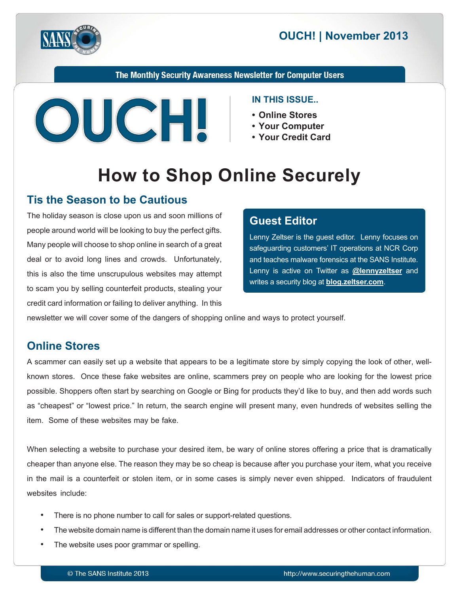



The Monthly Security Awareness Newsletter for Computer Users



#### **IN THIS ISSUE..**

- Online Stores
- Your Computer
- Your Credit Card

# **How to Shop Online Securely**

#### **Tis the Season to be Cautious**

The holiday season is close upon us and soon millions of people around world will be looking to buy the perfect gifts. Many people will choose to shop online in search of a great deal or to avoid long lines and crowds. Unfortunately, this is also the time unscrupulous websites may attempt to scam you by selling counterfeit products, stealing your credit card information or failing to deliver anything. In this

#### **Editor Guest**

Lenny Zeltser is the guest editor. Lenny focuses on safeguarding customers' IT operations at NCR Corp and teaches malware forensics at the SANS Institute. Lenny is active on Twitter as **@[lennyzeltser](https://twitter.com/lennyzeltser)** and writes a security blog at **blog zeltser.com**.

newsletter we will cover some of the dangers of shopping online and ways to protect yourself.

### **Online Stores**

known stores. Once these fake websites are online, scammers prey on people who are looking for the lowest price A scammer can easily set up a website that appears to be a legitimate store by simply copying the look of other, wellpossible. Shoppers often start by searching on Google or Bing for products they'd like to buy, and then add words such as "cheapest" or "lowest price." In return, the search engine will present many, even hundreds of websites selling the item. Some of these websites may be fake.

When selecting a website to purchase your desired item, be wary of online stores offering a price that is dramatically cheaper than anyone else. The reason they may be so cheap is because after you purchase your item, what you receive in the mail is a counterfeit or stolen item, or in some cases is simply never even shipped. Indicators of fraudulent websites include:

- There is no phone number to call for sales or support-related questions.
- The website domain name is different than the domain name it uses for email addresses or other contact information.
- The website uses poor grammar or spelling.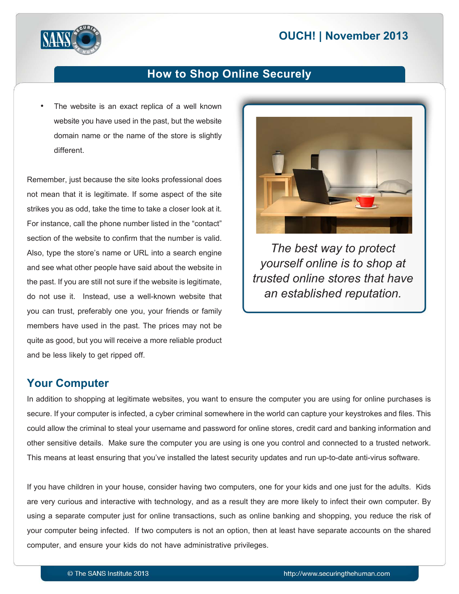# **2013 OUCH! | November 2013**



#### **How to Shop Online Securely**

The website is an exact replica of a well known website you have used in the past, but the website domain name or the name of the store is slightly .different

Remember, just because the site looks professional does not mean that it is legitimate. If some aspect of the site strikes you as odd, take the time to take a closer look at it. For instance, call the phone number listed in the "contact" section of the website to confirm that the number is valid. Also, type the store's name or URL into a search engine and see what other people have said about the website in the past. If you are still not sure if the website is legitimate, do not use it. Instead, use a well-known website that you can trust, preferably one you, your friends or family members have used in the past. The prices may not be quite as good, but you will receive a more reliable product and be less likely to get ripped off.



*The best way to protect yourself online is to shop at trusted online stores that have an established reputation.* 

#### **Your Computer**

In addition to shopping at legitimate websites, you want to ensure the computer you are using for online purchases is secure. If your computer is infected, a cyber criminal somewhere in the world can capture your keystrokes and files. This could allow the criminal to steal your username and password for online stores, credit card and banking information and other sensitive details. Make sure the computer you are using is one you control and connected to a trusted network. This means at least ensuring that you've installed the latest security updates and run up-to-date anti-virus software.

If you have children in your house, consider having two computers, one for your kids and one just for the adults. Kids are very curious and interactive with technology, and as a result they are more likely to infect their own computer. By using a separate computer just for online transactions, such as online banking and shopping, you reduce the risk of your computer being infected. If two computers is not an option, then at least have separate accounts on the shared computer, and ensure your kids do not have administrative privileges.